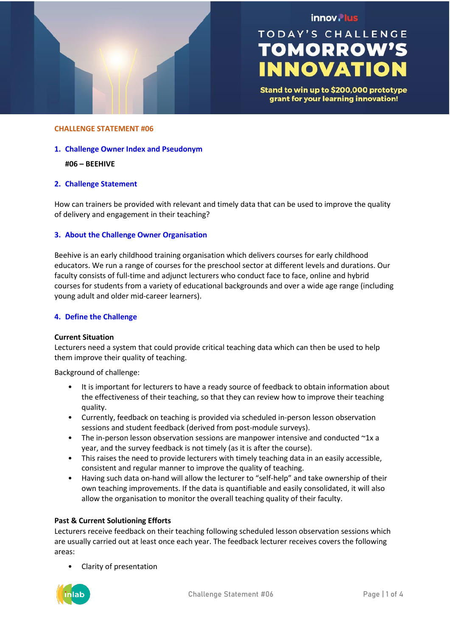

## innov. lus

# **TODAY'S CHALLENGE TOMORROW'S INNOVATION**

Stand to win up to \$200,000 prototype grant for your learning innovation!

#### **CHALLENGE STATEMENT #06**

#### **1. Challenge Owner Index and Pseudonym**

## **#06 – BEEHIVE**

## **2. Challenge Statement**

How can trainers be provided with relevant and timely data that can be used to improve the quality of delivery and engagement in their teaching?

## **3. About the Challenge Owner Organisation**

Beehive is an early childhood training organisation which delivers courses for early childhood educators. We run a range of courses for the preschool sector at different levels and durations. Our faculty consists of full-time and adjunct lecturers who conduct face to face, online and hybrid courses for students from a variety of educational backgrounds and over a wide age range (including young adult and older mid-career learners).

#### **4. Define the Challenge**

#### **Current Situation**

Lecturers need a system that could provide critical teaching data which can then be used to help them improve their quality of teaching.

Background of challenge:

- It is important for lecturers to have a ready source of feedback to obtain information about the effectiveness of their teaching, so that they can review how to improve their teaching quality.
- Currently, feedback on teaching is provided via scheduled in-person lesson observation sessions and student feedback (derived from post-module surveys).
- The in-person lesson observation sessions are manpower intensive and conducted  $\gamma$ 1x a year, and the survey feedback is not timely (as it is after the course).
- This raises the need to provide lecturers with timely teaching data in an easily accessible, consistent and regular manner to improve the quality of teaching.
- Having such data on-hand will allow the lecturer to "self-help" and take ownership of their own teaching improvements. If the data is quantifiable and easily consolidated, it will also allow the organisation to monitor the overall teaching quality of their faculty.

## **Past & Current Solutioning Efforts**

Lecturers receive feedback on their teaching following scheduled lesson observation sessions which are usually carried out at least once each year. The feedback lecturer receives covers the following areas:

• Clarity of presentation

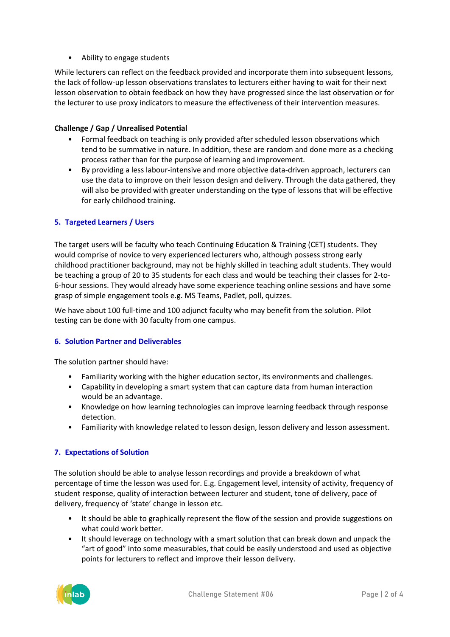• Ability to engage students

While lecturers can reflect on the feedback provided and incorporate them into subsequent lessons, the lack of follow-up lesson observations translates to lecturers either having to wait for their next lesson observation to obtain feedback on how they have progressed since the last observation or for the lecturer to use proxy indicators to measure the effectiveness of their intervention measures.

## **Challenge / Gap / Unrealised Potential**

- Formal feedback on teaching is only provided after scheduled lesson observations which tend to be summative in nature. In addition, these are random and done more as a checking process rather than for the purpose of learning and improvement.
- By providing a less labour-intensive and more objective data-driven approach, lecturers can use the data to improve on their lesson design and delivery. Through the data gathered, they will also be provided with greater understanding on the type of lessons that will be effective for early childhood training.

## **5. Targeted Learners / Users**

The target users will be faculty who teach Continuing Education & Training (CET) students. They would comprise of novice to very experienced lecturers who, although possess strong early childhood practitioner background, may not be highly skilled in teaching adult students. They would be teaching a group of 20 to 35 students for each class and would be teaching their classes for 2-to-6-hour sessions. They would already have some experience teaching online sessions and have some grasp of simple engagement tools e.g. MS Teams, Padlet, poll, quizzes.

We have about 100 full-time and 100 adjunct faculty who may benefit from the solution. Pilot testing can be done with 30 faculty from one campus.

## **6. Solution Partner and Deliverables**

The solution partner should have:

- Familiarity working with the higher education sector, its environments and challenges.
- Capability in developing a smart system that can capture data from human interaction would be an advantage.
- Knowledge on how learning technologies can improve learning feedback through response detection.
- Familiarity with knowledge related to lesson design, lesson delivery and lesson assessment.

## **7. Expectations of Solution**

The solution should be able to analyse lesson recordings and provide a breakdown of what percentage of time the lesson was used for. E.g. Engagement level, intensity of activity, frequency of student response, quality of interaction between lecturer and student, tone of delivery, pace of delivery, frequency of 'state' change in lesson etc.

- It should be able to graphically represent the flow of the session and provide suggestions on what could work better.
- It should leverage on technology with a smart solution that can break down and unpack the "art of good" into some measurables, that could be easily understood and used as objective points for lecturers to reflect and improve their lesson delivery.

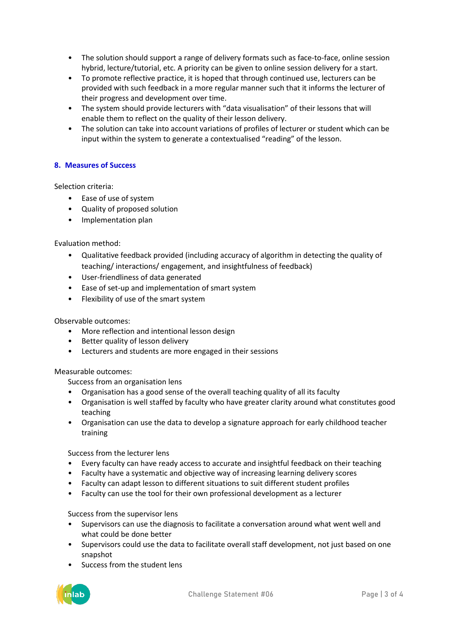- The solution should support a range of delivery formats such as face-to-face, online session hybrid, lecture/tutorial, etc. A priority can be given to online session delivery for a start.
- To promote reflective practice, it is hoped that through continued use, lecturers can be provided with such feedback in a more regular manner such that it informs the lecturer of their progress and development over time.
- The system should provide lecturers with "data visualisation" of their lessons that will enable them to reflect on the quality of their lesson delivery.
- The solution can take into account variations of profiles of lecturer or student which can be input within the system to generate a contextualised "reading" of the lesson.

## **8. Measures of Success**

Selection criteria:

- Ease of use of system
- Quality of proposed solution
- Implementation plan

## Evaluation method:

- Qualitative feedback provided (including accuracy of algorithm in detecting the quality of teaching/ interactions/ engagement, and insightfulness of feedback)
- User-friendliness of data generated
- Ease of set-up and implementation of smart system
- Flexibility of use of the smart system

## Observable outcomes:

- More reflection and intentional lesson design
- Better quality of lesson delivery
- Lecturers and students are more engaged in their sessions

## Measurable outcomes:

Success from an organisation lens

- Organisation has a good sense of the overall teaching quality of all its faculty
- Organisation is well staffed by faculty who have greater clarity around what constitutes good teaching
- Organisation can use the data to develop a signature approach for early childhood teacher training

## Success from the lecturer lens

- Every faculty can have ready access to accurate and insightful feedback on their teaching
- Faculty have a systematic and objective way of increasing learning delivery scores
- Faculty can adapt lesson to different situations to suit different student profiles
- Faculty can use the tool for their own professional development as a lecturer

## Success from the supervisor lens

- Supervisors can use the diagnosis to facilitate a conversation around what went well and what could be done better
- Supervisors could use the data to facilitate overall staff development, not just based on one snapshot
- Success from the student lens